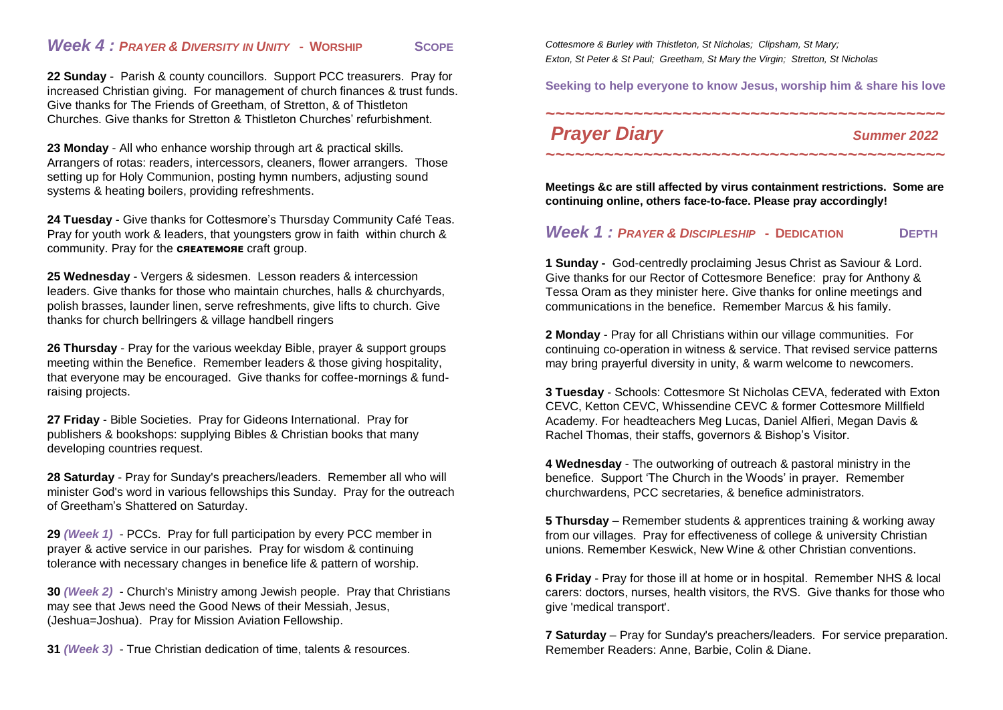## *Week 4 : PRAYER & DIVERSITY IN UNITY* **- WORSHIP SCOPE**

**22 Sunday** - Parish & county councillors. Support PCC treasurers. Pray for increased Christian giving. For management of church finances & trust funds. Give thanks for The Friends of Greetham, of Stretton, & of Thistleton Churches. Give thanks for Stretton & Thistleton Churches' refurbishment.

**23 Monday** - All who enhance worship through art & practical skills. Arrangers of rotas: readers, intercessors, cleaners, flower arrangers. Those setting up for Holy Communion, posting hymn numbers, adjusting sound systems & heating boilers, providing refreshments.

**24 Tuesday** - Give thanks for Cottesmore's Thursday Community Café Teas. Pray for youth work & leaders, that youngsters grow in faith within church & community. Pray for the **CREATEMORE** craft group.

**25 Wednesday** - Vergers & sidesmen. Lesson readers & intercession leaders. Give thanks for those who maintain churches, halls & churchyards, polish brasses, launder linen, serve refreshments, give lifts to church. Give thanks for church bellringers & village handbell ringers

**26 Thursday** - Pray for the various weekday Bible, prayer & support groups meeting within the Benefice. Remember leaders & those giving hospitality, that everyone may be encouraged. Give thanks for coffee-mornings & fundraising projects.

**27 Friday** - Bible Societies. Pray for Gideons International. Pray for publishers & bookshops: supplying Bibles & Christian books that many developing countries request.

**28 Saturday** - Pray for Sunday's preachers/leaders. Remember all who will minister God's word in various fellowships this Sunday. Pray for the outreach of Greetham's Shattered on Saturday.

**29** *(Week 1)* - PCCs. Pray for full participation by every PCC member in prayer & active service in our parishes. Pray for wisdom & continuing tolerance with necessary changes in benefice life & pattern of worship.

**30** *(Week 2)* - Church's Ministry among Jewish people. Pray that Christians may see that Jews need the Good News of their Messiah, Jesus, (Jeshua=Joshua). Pray for Mission Aviation Fellowship.

**31** *(Week 3)* - True Christian dedication of time, talents & resources.

*Cottesmore & Burley with Thistleton, St Nicholas; Clipsham, St Mary; Exton, St Peter & St Paul; Greetham, St Mary the Virgin; Stretton, St Nicholas*

**Seeking to help everyone to know Jesus, worship him & share his love**

**~~~~~~~~~~~~~~~~~~~~~~~~~~~~~~~~~~~~~~~~~**

## *Prayer Diary Summer <sup>2022</sup>*

**Meetings &c are still affected by virus containment restrictions. Some are continuing online, others face-to-face. Please pray accordingly!**

**~~~~~~~~~~~~~~~~~~~~~~~~~~~~~~~~~~~~~~~~~**

## *Week 1 : PRAYER & DISCIPLESHIP* **- DEDICATION DEPTH**

**1 Sunday -** God-centredly proclaiming Jesus Christ as Saviour & Lord. Give thanks for our Rector of Cottesmore Benefice: pray for Anthony & Tessa Oram as they minister here. Give thanks for online meetings and communications in the benefice. Remember Marcus & his family.

**2 Monday** - Pray for all Christians within our village communities. For continuing co-operation in witness & service. That revised service patterns may bring prayerful diversity in unity, & warm welcome to newcomers.

**3 Tuesday** - Schools: Cottesmore St Nicholas CEVA, federated with Exton CEVC, Ketton CEVC, Whissendine CEVC & former Cottesmore Millfield Academy. For headteachers Meg Lucas, Daniel Alfieri, Megan Davis & Rachel Thomas, their staffs, governors & Bishop's Visitor.

**4 Wednesday** - The outworking of outreach & pastoral ministry in the benefice. Support 'The Church in the Woods' in prayer. Remember churchwardens, PCC secretaries, & benefice administrators.

**5 Thursday** – Remember students & apprentices training & working away from our villages. Pray for effectiveness of college & university Christian unions. Remember Keswick, New Wine & other Christian conventions.

**6 Friday** - Pray for those ill at home or in hospital. Remember NHS & local carers: doctors, nurses, health visitors, the RVS. Give thanks for those who give 'medical transport'.

**7 Saturday** – Pray for Sunday's preachers/leaders. For service preparation. Remember Readers: Anne, Barbie, Colin & Diane.